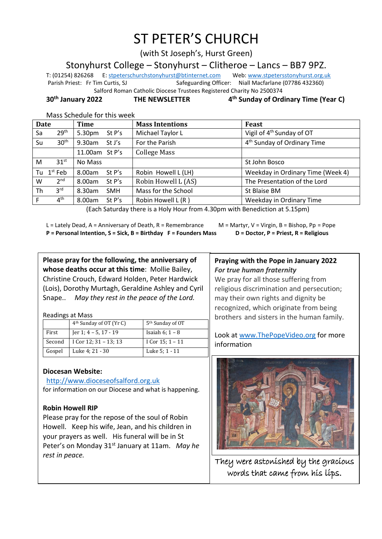# ST PETER'S CHURCH

(with St Joseph's, Hurst Green)

Stonyhurst College – Stonyhurst – Clitheroe – Lancs – BB7 9PZ.

T: (01254) 826268 E[: stpeterschurchstonyhurst@btinternet.com](mailto:stpeterschurchstonyhurst@btinternet.com) Web[: www.stpetersstonyhurst.org.uk](http://www.stpetersstonyhurst.org.uk/) Parish Priest: Fr Tim Curtis, SJ Safeguarding Officer: Niall Macfarlane (07786 432360)

Salford Roman Catholic Diocese Trustees Registered Charity No 2500374

**30th January 2022 THE NEWSLETTER 4**

Mass Schedule for this week

| <b>Date</b> |                        | <b>Time</b>          | <b>Mass Intentions</b> | Feast                                   |  |
|-------------|------------------------|----------------------|------------------------|-----------------------------------------|--|
| Sa          | 29 <sup>th</sup>       | 5.30pm<br>St P's     | Michael Taylor L       | Vigil of 4 <sup>th</sup> Sunday of OT   |  |
| Su          | 30 <sup>th</sup>       | $9.30$ am<br>St J's  | For the Parish         | 4 <sup>th</sup> Sunday of Ordinary Time |  |
|             |                        | 11.00am St P's       | <b>College Mass</b>    |                                         |  |
| M           | 31 <sup>st</sup>       | No Mass              |                        | St John Bosco                           |  |
|             | Tu 1 <sup>st</sup> Feb | 8.00am<br>St P's     | Robin Howell L (LH)    | Weekday in Ordinary Time (Week 4)       |  |
| W           | 2 <sup>nd</sup>        | 8.00am<br>St $P's$   | Robin Howell L (AS)    | The Presentation of the Lord            |  |
| Th          | 3 <sup>rd</sup>        | 8.30am<br><b>SMH</b> | Mass for the School    | St Blaise BM                            |  |
| F           | 4 <sup>th</sup>        | 8.00am<br>St $P's$   | Robin Howell L (R)     | Weekday in Ordinary Time                |  |

(Each Saturday there is a Holy Hour from 4.30pm with Benediction at 5.15pm)

I

L = Lately Dead, A = Anniversary of Death, R = Remembrance  $M =$  M = Martyr, V = Virgin, B = Bishop, Pp = Pope **P = Personal Intention, S = Sick, B = Birthday F = Founders Mass D = Doctor, P = Priest, R = Religious**

**th Sunday of Ordinary Time (Year C)**

**Please pray for the following, the anniversary of whose deaths occur at this time**: Mollie Bailey, Christine Crouch, Edward Holden, Peter Hardwick (Lois), Dorothy Murtagh, Geraldine Ashley and Cyril Snape.. *May they rest in the peace of the Lord.*

Readings at Mass

|        | 4 <sup>th</sup> Sunday of OT (Yr C) | 5 <sup>th</sup> Sunday of OT |
|--------|-------------------------------------|------------------------------|
| First  | Jer 1; $4 - 5$ , 17 - 19            | Isaiah $6$ ; $1 - 8$         |
| Second | I Cor $12$ ; $31 - 13$ ; $13$       | I Cor 15; 1 – 11             |
| Gospel | Luke 4; 21 - 30                     | Luke 5; 1 - 11               |

## **Diocesan Website:**

http://www.dioceseofsalford.org.uk

for information on our Diocese and what is happening.

# **Robin Howell RIP**

Please pray for the repose of the soul of Robin Howell. Keep his wife, Jean, and his children in your prayers as well. His funeral will be in St Peter's on Monday 31<sup>st</sup> January at 11am. May he *rest in peace.*

## **Praying with the Pope in January 2022** *For true human fraternity*

We pray for all those suffering from religious discrimination and persecution; may their own rights and dignity be recognized, which originate from being brothers and sisters in the human family.

Look at www.ThePopeVideo.org for more information



They were astonished by the gracious words that came from his lips.